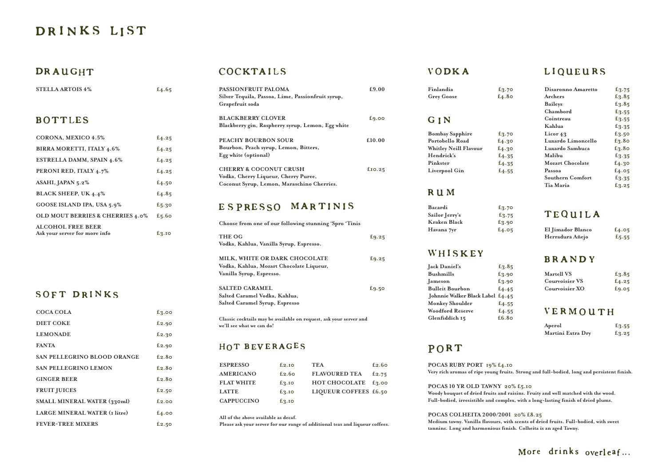# DRINKS LIST

# DRAUGHT

**POCAS 10 YR OLD TAWNY 20% £5.10** Woody bouquet of dried fruits and raisins. Fruity and well matched with the wood. **Full-bodied, irresistible and complex, with a long-lasting finish of dried plums.**

**POCAS COLHEITA 2000/2001 20% £8.25** Medium tawny. Vanilla flavours, with scents of dried fruits. Full-bodied, with sweet **tannins. Long and harmonious finish. Colheita is an aged Tawny.**

# LIQUEURS

# TEQUILA

| <b>STELLA ARTOIS 4%</b>                                   | £4.65 |
|-----------------------------------------------------------|-------|
| <b>BOTTLES</b>                                            |       |
| CORONA, MEXICO 4.5%                                       | £4.25 |
| BIRRA MORETTI, ITALY 4.6%                                 | f4.25 |
| <b>ESTRELLA DAMM, SPAIN 4.6%</b>                          | f4.25 |
| PERONI RED, ITALY 4.7%                                    | f4.25 |
| ASAHI, JAPAN 5.2%                                         | f4.50 |
| <b>BLACK SHEEP, UK 4.4%</b>                               | £4.85 |
| GOOSE ISLAND IPA, USA 5.9%                                | £5.30 |
| <b>OLD MOUT BERRIES &amp; CHERRIES 4.0%</b>               | f5.60 |
| <b>ALCOHOL FREE BEER</b><br>Ask your server for more info | £3.10 |

# SOFT DRINKS

| £9.25 |
|-------|
|       |
| E9.25 |
|       |
|       |
| £9.50 |
|       |
|       |
|       |

| PASSIONFRUIT PALOMA<br>Silver Tequila, Passoa, Lime, Passionfruit syrup,<br>Grapefruit soda | £9.00             |
|---------------------------------------------------------------------------------------------|-------------------|
| <b>BLACKBERRY CLOVER</b>                                                                    | E <sub>9.00</sub> |
| Blackberry gin, Raspberry syrup, Lemon, Egg white                                           |                   |
| PEACHY BOURBON SOUR                                                                         | £10.00            |
| Bourbon, Peach syrup, Lemon, Bitters,                                                       |                   |
| Egg white (optional)                                                                        |                   |
| <b>CHERRY &amp; COCONUT CRUSH</b>                                                           | $f_{10.25}$       |
| Vodka, Cherry Liqueur, Cherry Puree,                                                        |                   |
| Coconut Syrup, Lemon, Maraschino Cherries.                                                  |                   |

# ESPRESSO MARTINIS

**Classic cocktails may be available on request, ask your server and we'll see what we can do!**

### HOT BEVERAGES

| COCA COLA                            | f3.00    |
|--------------------------------------|----------|
| <b>DIET COKE</b>                     | f2.90    |
| <b>LEMONADE</b>                      | £2.30    |
| <b>FANTA</b>                         | f2.90    |
| <b>SAN PELLEGRINO BLOOD ORANGE</b>   | £2.80    |
| <b>SAN PELLEGRINO LEMON</b>          | £2.80    |
| <b>GINGER BEER</b>                   | £2.80    |
| <b>FRUIT JUICES</b>                  | £2.50    |
| SMALL MINERAL WATER (330ml)          | f2.00    |
| <b>LARGE MINERAL WATER (I litre)</b> | $E_4.00$ |
| <b>FEVER-TREE MIXERS</b>             | £2.50    |

# COCKTAILS

| Bacardi        | £3.70    |
|----------------|----------|
| Sailor Jerry's | $E_3.75$ |
| Kraken Black   | £3.90    |
| Havana 7yr     | f4.05    |

# WHISKEY

| Jack Daniel's                    | £3.85 |
|----------------------------------|-------|
| <b>Bushmills</b>                 | £3.90 |
| Jameson                          | £3.90 |
| <b>Bulleit Bourbon</b>           | £4.45 |
| Johnnie Walker Black Label £4.45 |       |
| Monkey Shoulder                  | £4.55 |
| <b>Woodford Reserve</b>          | £4.55 |
| Glenfiddich 15                   | £6.80 |

# PORT

**POCAS RUBY PORT 19% £4.10** Very rich aromas of ripe young fruits. Strong and full-bodied, long and persistent finish.

| Finlandia                    | $E_3.70$ | Disaronno Amaretto      | £3.75    |
|------------------------------|----------|-------------------------|----------|
| <b>Grey Goose</b>            | £4.80    | Archers                 | £3.85    |
|                              |          | <b>Baileys</b>          | £3.85    |
|                              |          | Chambord                | E3.55    |
| GIN                          |          | Cointreau               | £3.55    |
|                              |          | Kahlua                  | $E_3.35$ |
| <b>Bombay Sapphire</b>       | $E_3.70$ | Licor $43$              | £3.50    |
| Portobello Road              | f4.30    | Luxardo Limoncello      | £3.80    |
| <b>Whitley Neill Flavour</b> | f4.30    | Luxardo Sambuca         | £3.80    |
| Hendrick's                   | £4.35    | Malibu                  | E3.35    |
| Pinkster                     | £4.35    | <b>Mozart Chocolate</b> | f4.30    |
| Liverpool Gin                | £4.55    | Passoa                  | f4.05    |
|                              |          | Southern Comfort        | $E_3.35$ |
|                              |          | Tia Maria               | $E_3.25$ |

| Finlandia                    | £3.70    | Disaronno Amaretto      | £3.75    |
|------------------------------|----------|-------------------------|----------|
| <b>Grey Goose</b>            | £4.80    | Archers                 | £3.85    |
|                              |          | <b>Baileys</b>          | £3.85    |
|                              |          | Chambord                | E3.55    |
| GIN                          |          | Cointreau               | £3.55    |
|                              |          | Kahlua                  | E3.35    |
| <b>Bombay Sapphire</b>       | $E_3.70$ | Licor $43$              | £3.50    |
| Portobello Road              | f4.30    | Luxardo Limoncello      | £3.80    |
| <b>Whitley Neill Flavour</b> | f4.30    | Luxardo Sambuca         | £3.80    |
| Hendrick's                   | £4.35    | Malibu                  | $E_3.35$ |
| Pinkster                     | £4.35    | <b>Mozart Chocolate</b> | f4.30    |
| Liverpool Gin                | f4.55    | Passoa                  | f4.05    |
|                              |          | <b>Southern Comfort</b> | $E_3.35$ |
|                              |          | Tia Maria               | £3.25    |

# RUM

| El Jimador Blanco | f4.05    |
|-------------------|----------|
| Herradura Añejo   | $E_5.55$ |

### BRANDY

| <b>Martell VS</b> | £3.85 |
|-------------------|-------|
| Courvoisier VS    | E4.25 |
| Courvoisier XO    | E9.05 |

## VERMOUTH

| Aperol            | £3.55    |
|-------------------|----------|
| Martini Extra Dry | $E_3.25$ |

# More drinks overleaf...

| <b>ESPRESSO</b>   | f2.10 | <b>TEA</b>            | £2.60 |
|-------------------|-------|-----------------------|-------|
| AMERICANO         | £2.60 | <b>FLAVOURED TEA</b>  | £2.75 |
| <b>FLAT WHITE</b> | f3.10 | <b>HOT CHOCOLATE</b>  | E3.00 |
| <b>LATTE</b>      | £3.10 | LIQUEUR COFFEES £6.50 |       |
| <b>CAPPUCCINO</b> | £3.10 |                       |       |

**All of the above available as decaf.**

**Please ask your server for our range of additional teas and liqueur coffees.**

# **VODKA**